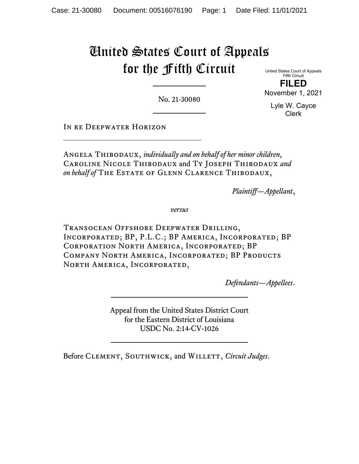## United States Court of Appeals for the Fifth Circuit

United States Court of Appeals Fifth Circuit **FILED**

No. 21-30080

Lyle W. Cayce Clerk

November 1, 2021

IN RE DEEPWATER HORIZON

Angela Thibodaux, *individually and on behalf of her minor children*, Caroline Nicole Thibodaux and Ty Joseph Thibodaux *and*  on behalf of THE ESTATE OF GLENN CLARENCE THIBODAUX,

*Plaintiff—Appellant*,

*versus*

Transocean Offshore Deepwater Drilling, Incorporated; BP, P.L.C.; BP America, Incorporated; BP Corporation North America, Incorporated; BP COMPANY NORTH AMERICA, INCORPORATED; BP PRODUCTS NORTH AMERICA, INCORPORATED,

*Defendants—Appellees*.

Appeal from the United States District Court for the Eastern District of Louisiana USDC No. 2:14-CV-1026

Before CLEMENT, SOUTHWICK, and WILLETT, *Circuit Judges*.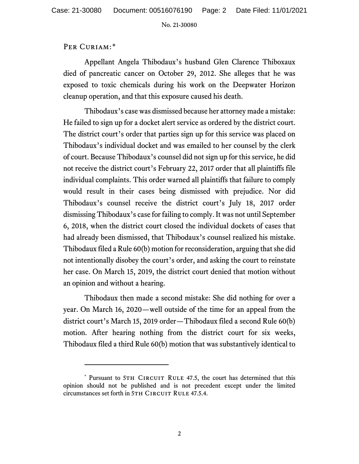No. 21-30080

## PER CURIAM:[\\*](#page-1-0)

Appellant Angela Thibodaux's husband Glen Clarence Thiboxaux died of pancreatic cancer on October 29, 2012. She alleges that he was exposed to toxic chemicals during his work on the Deepwater Horizon cleanup operation, and that this exposure caused his death.

Thibodaux's case was dismissed because her attorney made a mistake: He failed to sign up for a docket alert service as ordered by the district court. The district court's order that parties sign up for this service was placed on Thibodaux's individual docket and was emailed to her counsel by the clerk of court. Because Thibodaux's counsel did not sign up for this service, he did not receive the district court's February 22, 2017 order that all plaintiffs file individual complaints. This order warned all plaintiffs that failure to comply would result in their cases being dismissed with prejudice. Nor did Thibodaux's counsel receive the district court's July 18, 2017 order dismissing Thibodaux's case for failing to comply. It was not until September 6, 2018, when the district court closed the individual dockets of cases that had already been dismissed, that Thibodaux's counsel realized his mistake. Thibodaux filed a Rule 60(b) motion for reconsideration, arguing that she did not intentionally disobey the court's order, and asking the court to reinstate her case. On March 15, 2019, the district court denied that motion without an opinion and without a hearing.

Thibodaux then made a second mistake: She did nothing for over a year. On March 16, 2020—well outside of the time for an appeal from the district court's March 15, 2019 order—Thibodaux filed a second Rule 60(b) motion. After hearing nothing from the district court for six weeks, Thibodaux filed a third Rule 60(b) motion that was substantively identical to

<span id="page-1-0"></span><sup>\*</sup> Pursuant to 5TH CIRCUIT RULE 47.5, the court has determined that this opinion should not be published and is not precedent except under the limited circumstances set forth in 5TH CIRCUIT RULE 47.5.4.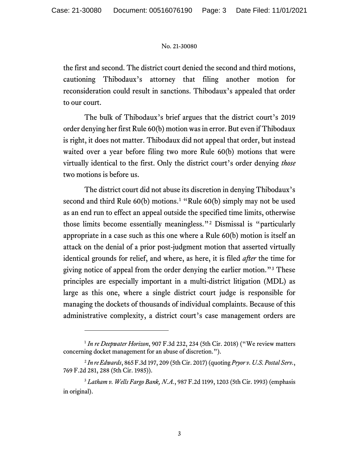## No. 21-30080

the first and second. The district court denied the second and third motions, cautioning Thibodaux's attorney that filing another motion for reconsideration could result in sanctions. Thibodaux's appealed that order to our court.

The bulk of Thibodaux's brief argues that the district court's 2019 order denying her first Rule 60(b) motion was in error. But even if Thibodaux is right, it does not matter. Thibodaux did not appeal that order, but instead waited over a year before filing two more Rule 60(b) motions that were virtually identical to the first. Only the district court's order denying *those* two motions is before us.

The district court did not abuse its discretion in denying Thibodaux's second and third Rule 60(b) motions. [1](#page-2-0) "Rule 60(b) simply may not be used as an end run to effect an appeal outside the specified time limits, otherwise those limits become essentially meaningless."[2](#page-2-1) Dismissal is "particularly appropriate in a case such as this one where a Rule 60(b) motion is itself an attack on the denial of a prior post-judgment motion that asserted virtually identical grounds for relief, and where, as here, it is filed *after* the time for giving notice of appeal from the order denying the earlier motion."[3](#page-2-2) These principles are especially important in a multi-district litigation (MDL) as large as this one, where a single district court judge is responsible for managing the dockets of thousands of individual complaints. Because of this administrative complexity, a district court's case management orders are

<span id="page-2-0"></span><sup>1</sup> *In re Deepwater Horizon*, 907 F.3d 232, 234 (5th Cir. 2018) ("We review matters concerning docket management for an abuse of discretion.").

<span id="page-2-1"></span><sup>2</sup> *In re Edwards*, 865 F.3d 197, 209 (5th Cir. 2017) (quoting *Pryor v. U.S. Postal Serv.*, 769 F.2d 281, 288 (5th Cir. 1985)).

<span id="page-2-2"></span><sup>3</sup> *Latham v. Wells Fargo Bank, N.A.*, 987 F.2d 1199, 1203 (5th Cir. 1993) (emphasis in original).